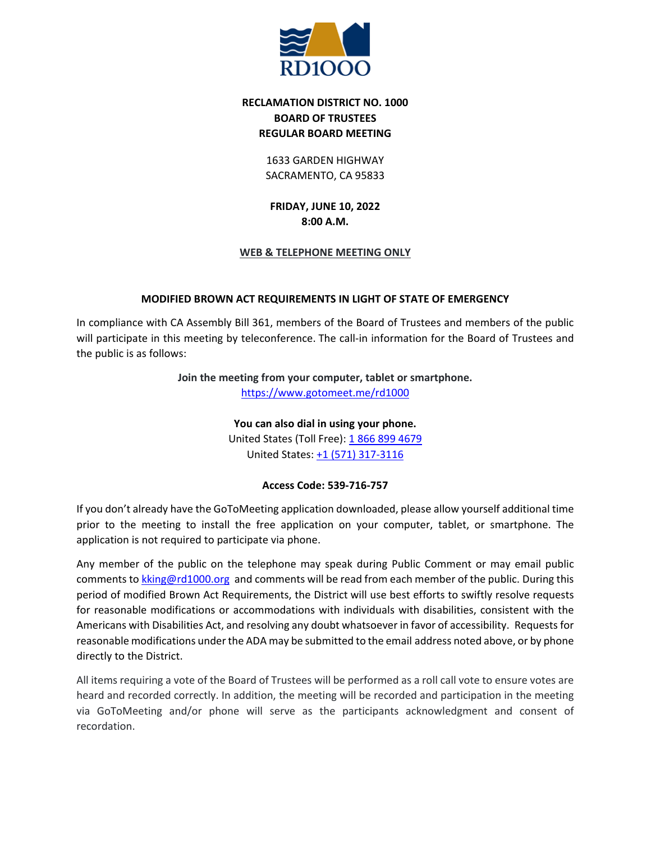

# **RECLAMATION DISTRICT NO. 1000 BOARD OF TRUSTEES REGULAR BOARD MEETING**

1633 GARDEN HIGHWAY SACRAMENTO, CA 95833

**FRIDAY, JUNE 10, 2022 8:00 A.M.**

## **WEB & TELEPHONE MEETING ONLY**

## **MODIFIED BROWN ACT REQUIREMENTS IN LIGHT OF STATE OF EMERGENCY**

In compliance with CA Assembly Bill 361, members of the Board of Trustees and members of the public will participate in this meeting by teleconference. The call-in information for the Board of Trustees and the public is as follows:

**Join the meeting from your computer, tablet or smartphone.**

<https://www.gotomeet.me/rd1000>

**You can also dial in using your phone.** United States (Toll Free): [1 866 899 4679](tel:+18668994679,,539716757) United States: [+1 \(571\) 317-3116](tel:+15713173116,,539716757)

## **Access Code: 539-716-757**

If you don't already have the GoToMeeting application downloaded, please allow yourself additional time prior to the meeting to install the free application on your computer, tablet, or smartphone. The application is not required to participate via phone.

Any member of the public on the telephone may speak during Public Comment or may email public comments to [kking@rd1000.org](mailto:kking@rd1000.org) and comments will be read from each member of the public. During this period of modified Brown Act Requirements, the District will use best efforts to swiftly resolve requests for reasonable modifications or accommodations with individuals with disabilities, consistent with the Americans with Disabilities Act, and resolving any doubt whatsoever in favor of accessibility. Requests for reasonable modifications under the ADA may be submitted to the email address noted above, or by phone directly to the District.

All items requiring a vote of the Board of Trustees will be performed as a roll call vote to ensure votes are heard and recorded correctly. In addition, the meeting will be recorded and participation in the meeting via GoToMeeting and/or phone will serve as the participants acknowledgment and consent of recordation.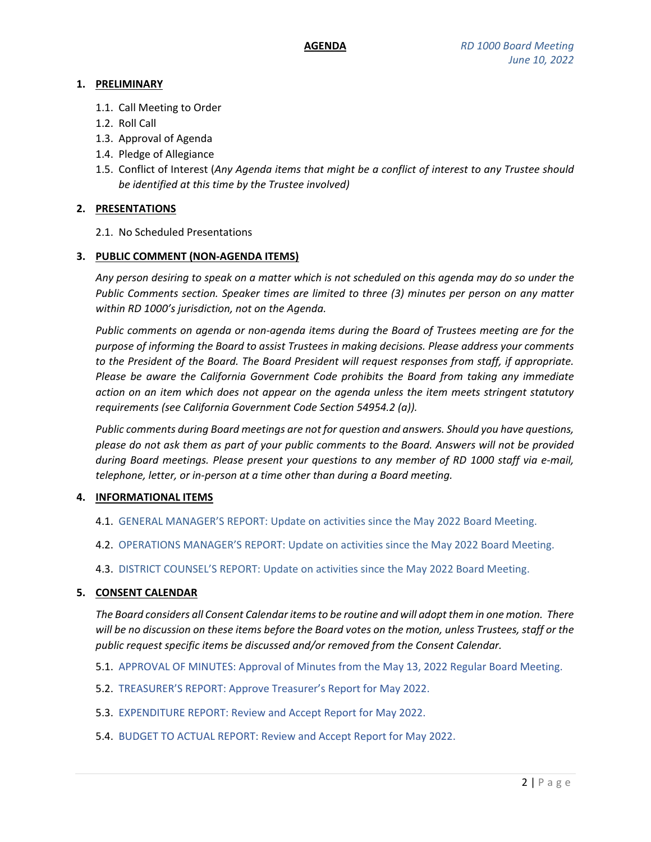## **1. PRELIMINARY**

- 1.1. Call Meeting to Order
- 1.2. Roll Call
- 1.3. Approval of Agenda
- 1.4. Pledge of Allegiance
- 1.5. Conflict of Interest (*Any Agenda items that might be a conflict of interest to any Trustee should be identified at this time by the Trustee involved)*

## **2. PRESENTATIONS**

2.1. No Scheduled Presentations

### **3. PUBLIC COMMENT (NON-AGENDA ITEMS)**

*Any person desiring to speak on a matter which is not scheduled on this agenda may do so under the Public Comments section. Speaker times are limited to three (3) minutes per person on any matter within RD 1000's jurisdiction, not on the Agenda.*

*Public comments on agenda or non-agenda items during the Board of Trustees meeting are for the purpose of informing the Board to assist Trustees in making decisions. Please address your comments to the President of the Board. The Board President will request responses from staff, if appropriate. Please be aware the California Government Code prohibits the Board from taking any immediate action on an item which does not appear on the agenda unless the item meets stringent statutory requirements (see California Government Code Section 54954.2 (a)).*

*Public comments during Board meetings are not for question and answers. Should you have questions, please do not ask them as part of your public comments to the Board. Answers will not be provided during Board meetings. Please present your questions to any member of RD 1000 staff via e-mail, telephone, letter, or in-person at a time other than during a Board meeting.*

## **4. INFORMATIONAL ITEMS**

- 4.1. GENERAL MANAGER'S REPORT: Update on activities since the May 2022 Board Meeting.
- 4.2. OPERATIONS MANAGER'S REPORT: Update on activities since the May 2022 Board Meeting.
- 4.3. DISTRICT COUNSEL'S REPORT: Update on activities since the May 2022 Board Meeting.

#### **5. CONSENT CALENDAR**

*The Board considers all Consent Calendar items to be routine and will adopt them in one motion. There will be no discussion on these items before the Board votes on the motion, unless Trustees, staff or the public request specific items be discussed and/or removed from the Consent Calendar.*

- 5.1. APPROVAL OF MINUTES: Approval of Minutes from the May 13, 2022 Regular Board Meeting.
- 5.2. TREASURER'S REPORT: Approve Treasurer's Report for May 2022.
- 5.3. EXPENDITURE REPORT: Review and Accept Report for May 2022.
- 5.4. BUDGET TO ACTUAL REPORT: Review and Accept Report for May 2022.